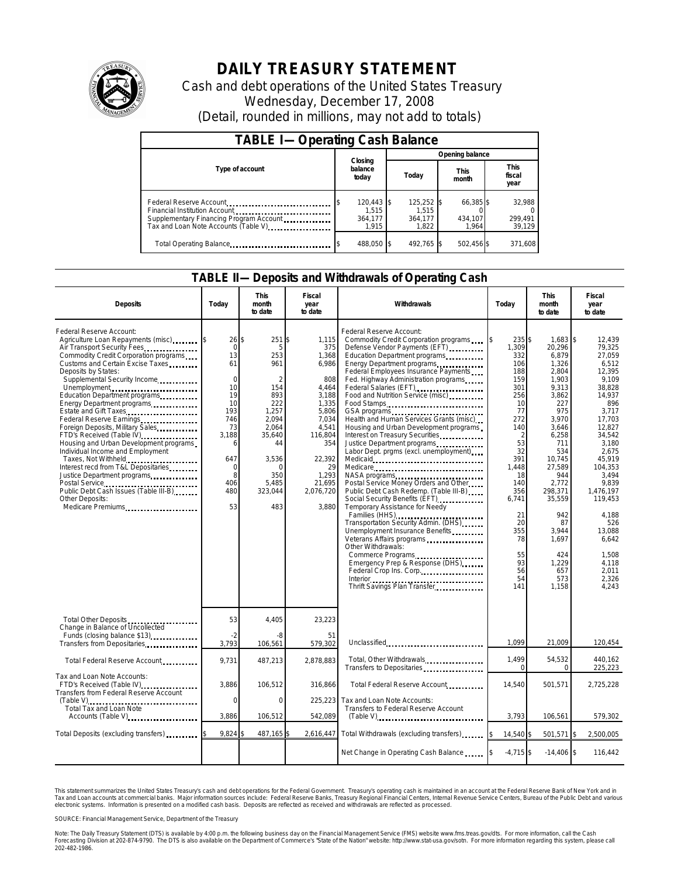

# **DAILY TREASURY STATEMENT**

Cash and debt operations of the United States Treasury Wednesday, December 17, 2008 (Detail, rounded in millions, may not add to totals)

| <b>TABLE I-Operating Cash Balance</b>                                                                                                        |                                           |                                           |                               |                               |  |  |  |  |
|----------------------------------------------------------------------------------------------------------------------------------------------|-------------------------------------------|-------------------------------------------|-------------------------------|-------------------------------|--|--|--|--|
|                                                                                                                                              |                                           | Opening balance                           |                               |                               |  |  |  |  |
| Type of account                                                                                                                              | Closing<br>balance<br>todav               | Today                                     | <b>This</b><br>month          | <b>This</b><br>fiscal<br>year |  |  |  |  |
| Federal Reserve Account<br>Financial Institution Account<br>Supplementary Financing Program Account<br>Tax and Loan Note Accounts (Table V). | $120,443$ \$<br>1.515<br>364,177<br>1.915 | $125,252$ \$<br>1.515<br>364.177<br>1.822 | 66,385 \$<br>434,107<br>1.964 | 32,988<br>299,491<br>39,129   |  |  |  |  |
| Total Operating Balance                                                                                                                      | 488,050 \$                                | 492.765 \$                                | 502,456 \$                    | 371,608                       |  |  |  |  |

#### **TABLE II—Deposits and Withdrawals of Operating Cash**

| <b>Deposits</b>                                                                                                                                                                                                                                                                                                                                                                                                                                                                                                                                                                                                                                                                             | Today                                                                                                                                   | <b>This</b><br>month<br>to date                                                                                                                                   | Fiscal<br>year<br>to date                                                                                                                                              | Withdrawals                                                                                                                                                                                                                                                                                                                                                                                                                                                                                                                                                                                                                                                                                                                                                                                                                                                                                                                           | Today                                                                                                                                                                                                                 | <b>This</b><br>month<br>to date                                                                                                                                                                                                                                  | Fiscal<br>year<br>to date                                                                                                                                                                                                                                                                 |  |
|---------------------------------------------------------------------------------------------------------------------------------------------------------------------------------------------------------------------------------------------------------------------------------------------------------------------------------------------------------------------------------------------------------------------------------------------------------------------------------------------------------------------------------------------------------------------------------------------------------------------------------------------------------------------------------------------|-----------------------------------------------------------------------------------------------------------------------------------------|-------------------------------------------------------------------------------------------------------------------------------------------------------------------|------------------------------------------------------------------------------------------------------------------------------------------------------------------------|---------------------------------------------------------------------------------------------------------------------------------------------------------------------------------------------------------------------------------------------------------------------------------------------------------------------------------------------------------------------------------------------------------------------------------------------------------------------------------------------------------------------------------------------------------------------------------------------------------------------------------------------------------------------------------------------------------------------------------------------------------------------------------------------------------------------------------------------------------------------------------------------------------------------------------------|-----------------------------------------------------------------------------------------------------------------------------------------------------------------------------------------------------------------------|------------------------------------------------------------------------------------------------------------------------------------------------------------------------------------------------------------------------------------------------------------------|-------------------------------------------------------------------------------------------------------------------------------------------------------------------------------------------------------------------------------------------------------------------------------------------|--|
| Federal Reserve Account:<br>Agriculture Loan Repayments (misc) \$<br>Air Transport Security Fees<br>Commodity Credit Corporation programs<br>Customs and Certain Excise Taxes<br>Deposits by States:<br>Supplemental Security Income<br>Unemployment<br>Education Department programs<br>Energy Department programs<br>Estate and Gift Taxes<br>Foreign Deposits, Military Sales<br>FTD's Received (Table IV)<br>Housing and Urban Development programs<br>Individual Income and Employment<br>Taxes, Not Withheld<br>Interest recd from T&L Depositaries<br>Justice Department programs<br>Postal Service<br>Public Debt Cash Issues (Table III-B)<br>Other Deposits:<br>Medicare Premiums | $26$ \$<br>$\mathbf 0$<br>13<br>61<br>$\Omega$<br>10<br>19<br>10<br>193<br>746<br>73<br>3,188<br>6<br>647<br>0<br>8<br>406<br>480<br>53 | 251\$<br>5<br>253<br>961<br>$\mathfrak{D}$<br>154<br>893<br>222<br>1.257<br>2.094<br>2,064<br>35,640<br>44<br>3,536<br>$\Omega$<br>350<br>5.485<br>323,044<br>483 | 1,115<br>375<br>1,368<br>6,986<br>808<br>4,464<br>3,188<br>1.335<br>5,806<br>7.034<br>4,541<br>116,804<br>354<br>22,392<br>29<br>1,293<br>21,695<br>2,076,720<br>3.880 | Federal Reserve Account:<br>Commodity Credit Corporation programs<br>Defense Vendor Payments (EFT)<br>Education Department programs<br>Energy Department programs<br>Federal Employees Insurance Payments<br>Fed. Highway Administration programs<br>Federal Salaries (EFT)<br>Food and Nutrition Service (misc)<br>Food Stamps<br>GSA programs<br>Health and Human Services Grants (misc)<br>Housing and Urban Development programs<br>Interest on Treasury Securities.<br>Justice Department programs<br>Labor Dept. prgms (excl. unemployment)<br>Medicare<br>Postal Service Money Orders and Other<br>Public Debt Cash Redemp. (Table III-B)<br>Social Security Benefits (EFT)<br>Temporary Assistance for Needy<br>Transportation Security Admin. (DHS)<br>Unemployment Insurance Benefits<br>Veterans Affairs programs<br>Other Withdrawals:<br>Commerce Programs<br>Emergency Prep & Response (DHS)<br>Federal Crop Ins. Corp. | 235\$<br>1,309<br>332<br>106<br>188<br>159<br>301<br>256<br>10<br>77<br>272<br>140<br>$\overline{2}$<br>53<br>32<br>391<br>1.448<br>18<br>140<br>356<br>6.741<br>21<br>20<br>355<br>78<br>55<br>93<br>56<br>54<br>141 | $1,683$ \$<br>20,296<br>6,879<br>1,326<br>2.804<br>1.903<br>9,313<br>3,862<br>227<br>975<br>3.970<br>3,646<br>6,258<br>711<br>534<br>10.745<br>27.589<br>944<br>2,772<br>298,371<br>35,559<br>942<br>87<br>3.944<br>1,697<br>424<br>1,229<br>657<br>573<br>1,158 | 12,439<br>79,325<br>27,059<br>6.512<br>12.395<br>9.109<br>38,828<br>14,937<br>896<br>3.717<br>17.703<br>12,827<br>34,542<br>3,180<br>2.675<br>45.919<br>104.353<br>3,494<br>9.839<br>1.476.197<br>119.453<br>4,188<br>526<br>13.088<br>6.642<br>1.508<br>4.118<br>2.011<br>2.326<br>4.243 |  |
| Total Other Deposits<br>Change in Balance of Uncollected<br>Funds (closing balance \$13).                                                                                                                                                                                                                                                                                                                                                                                                                                                                                                                                                                                                   | 53<br>$-2$                                                                                                                              | 4,405<br>-8                                                                                                                                                       | 23,223<br>51                                                                                                                                                           |                                                                                                                                                                                                                                                                                                                                                                                                                                                                                                                                                                                                                                                                                                                                                                                                                                                                                                                                       |                                                                                                                                                                                                                       |                                                                                                                                                                                                                                                                  |                                                                                                                                                                                                                                                                                           |  |
| Transfers from Depositaries                                                                                                                                                                                                                                                                                                                                                                                                                                                                                                                                                                                                                                                                 | 3.793                                                                                                                                   | 106,561                                                                                                                                                           | 579,302                                                                                                                                                                | Unclassified                                                                                                                                                                                                                                                                                                                                                                                                                                                                                                                                                                                                                                                                                                                                                                                                                                                                                                                          | 1,099                                                                                                                                                                                                                 | 21.009                                                                                                                                                                                                                                                           | 120,454                                                                                                                                                                                                                                                                                   |  |
| Total Federal Reserve Account                                                                                                                                                                                                                                                                                                                                                                                                                                                                                                                                                                                                                                                               | 9,731                                                                                                                                   | 487,213                                                                                                                                                           | 2,878,883                                                                                                                                                              | Total, Other Withdrawals<br>Transfers to Depositaries                                                                                                                                                                                                                                                                                                                                                                                                                                                                                                                                                                                                                                                                                                                                                                                                                                                                                 | 1,499<br>$\Omega$                                                                                                                                                                                                     | 54,532<br>0                                                                                                                                                                                                                                                      | 440,162<br>225,223                                                                                                                                                                                                                                                                        |  |
| Tax and Loan Note Accounts:<br>FTD's Received (Table IV)<br>Transfers from Federal Reserve Account                                                                                                                                                                                                                                                                                                                                                                                                                                                                                                                                                                                          | 3,886                                                                                                                                   | 106,512                                                                                                                                                           | 316,866                                                                                                                                                                | Total Federal Reserve Account                                                                                                                                                                                                                                                                                                                                                                                                                                                                                                                                                                                                                                                                                                                                                                                                                                                                                                         | 14,540                                                                                                                                                                                                                | 501,571                                                                                                                                                                                                                                                          | 2,725,228                                                                                                                                                                                                                                                                                 |  |
| Total Tax and Loan Note                                                                                                                                                                                                                                                                                                                                                                                                                                                                                                                                                                                                                                                                     | 0                                                                                                                                       | 0                                                                                                                                                                 | 225,223                                                                                                                                                                | Tax and Loan Note Accounts:<br>Transfers to Federal Reserve Account                                                                                                                                                                                                                                                                                                                                                                                                                                                                                                                                                                                                                                                                                                                                                                                                                                                                   |                                                                                                                                                                                                                       |                                                                                                                                                                                                                                                                  |                                                                                                                                                                                                                                                                                           |  |
| Accounts (Table V)                                                                                                                                                                                                                                                                                                                                                                                                                                                                                                                                                                                                                                                                          | 3,886                                                                                                                                   | 106,512                                                                                                                                                           | 542,089                                                                                                                                                                | $(Table V)$                                                                                                                                                                                                                                                                                                                                                                                                                                                                                                                                                                                                                                                                                                                                                                                                                                                                                                                           | 3,793                                                                                                                                                                                                                 | 106,561                                                                                                                                                                                                                                                          | 579,302                                                                                                                                                                                                                                                                                   |  |
| Total Deposits (excluding transfers) [100]                                                                                                                                                                                                                                                                                                                                                                                                                                                                                                                                                                                                                                                  | $9.824$ \$                                                                                                                              | 487,165\$                                                                                                                                                         |                                                                                                                                                                        | 2,616,447 Total Withdrawals (excluding transfers)                                                                                                                                                                                                                                                                                                                                                                                                                                                                                                                                                                                                                                                                                                                                                                                                                                                                                     | 14,540 \$                                                                                                                                                                                                             | 501,571 \$                                                                                                                                                                                                                                                       | 2,500,005                                                                                                                                                                                                                                                                                 |  |
|                                                                                                                                                                                                                                                                                                                                                                                                                                                                                                                                                                                                                                                                                             |                                                                                                                                         |                                                                                                                                                                   |                                                                                                                                                                        | Net Change in Operating Cash Balance                                                                                                                                                                                                                                                                                                                                                                                                                                                                                                                                                                                                                                                                                                                                                                                                                                                                                                  | $-4,715$ \$                                                                                                                                                                                                           | $-14,406$ \$                                                                                                                                                                                                                                                     | 116,442                                                                                                                                                                                                                                                                                   |  |

This statement summarizes the United States Treasury's cash and debt operations for the Federal Government. Treasury's operating cash is maintained in an account at the Federal Reserve Bank of New York and in<br>Tax and Loan electronic systems. Information is presented on a modified cash basis. Deposits are reflected as received and withdrawals are reflected as processed.

SOURCE: Financial Management Service, Department of the Treasury

Note: The Daily Treasury Statement (DTS) is available by 4:00 p.m. the following business day on the Financial Management Service (FMS) website www.fms.treas.gov/dts. For more information, call the Cash Forecasting Division at 202-874-9790. The DTS is also available on the Department of Commerce's "State of the Nation" website: http://www.stat-usa.gov/sotn. For more information regarding this system, please call<br>202-482-1